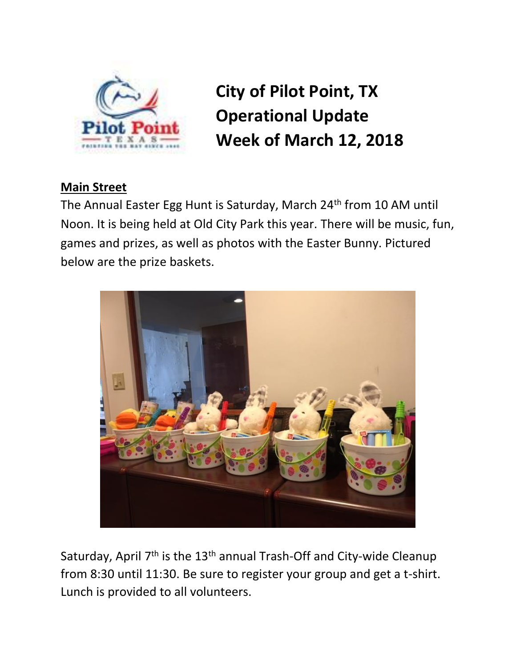

**City of Pilot Point, TX Operational Update Week of March 12, 2018**

## **Main Street**

The Annual Easter Egg Hunt is Saturday, March 24<sup>th</sup> from 10 AM until Noon. It is being held at Old City Park this year. There will be music, fun, games and prizes, as well as photos with the Easter Bunny. Pictured below are the prize baskets.



Saturday, April 7<sup>th</sup> is the 13<sup>th</sup> annual Trash-Off and City-wide Cleanup from 8:30 until 11:30. Be sure to register your group and get a t-shirt. Lunch is provided to all volunteers.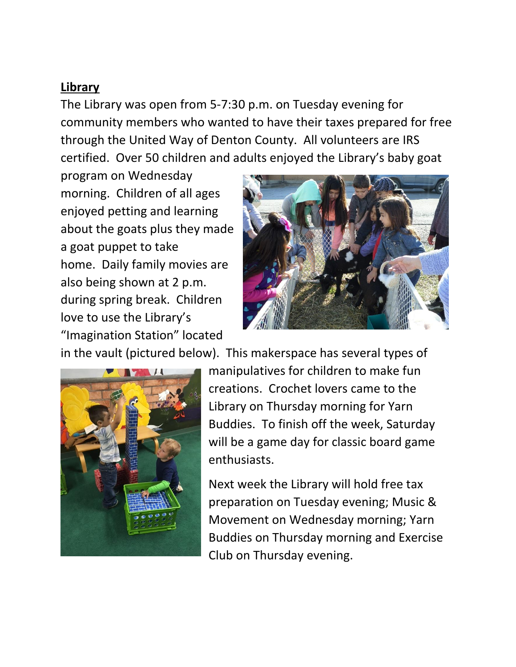## **Library**

The Library was open from 5-7:30 p.m. on Tuesday evening for community members who wanted to have their taxes prepared for free through the United Way of Denton County. All volunteers are IRS certified. Over 50 children and adults enjoyed the Library's baby goat

program on Wednesday morning. Children of all ages enjoyed petting and learning about the goats plus they made a goat puppet to take home. Daily family movies are also being shown at 2 p.m. during spring break. Children love to use the Library's "Imagination Station" located



in the vault (pictured below). This makerspace has several types of



manipulatives for children to make fun creations. Crochet lovers came to the Library on Thursday morning for Yarn Buddies. To finish off the week, Saturday will be a game day for classic board game enthusiasts.

Next week the Library will hold free tax preparation on Tuesday evening; Music & Movement on Wednesday morning; Yarn Buddies on Thursday morning and Exercise Club on Thursday evening.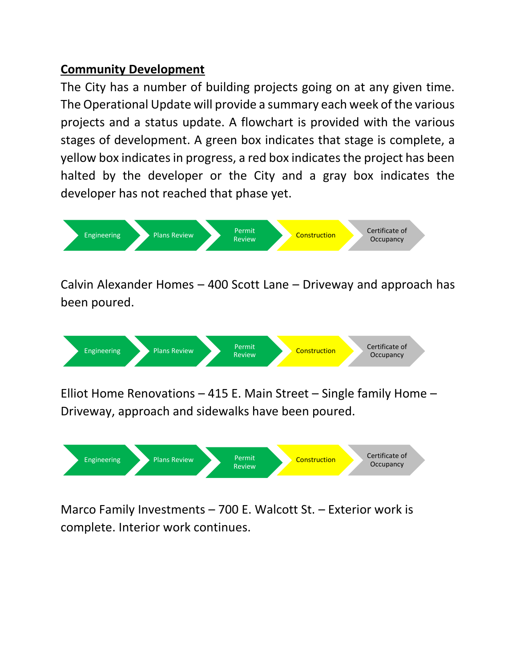## **Community Development**

The City has a number of building projects going on at any given time. The Operational Update will provide a summary each week of the various projects and a status update. A flowchart is provided with the various stages of development. A green box indicates that stage is complete, a yellow box indicates in progress, a red box indicates the project has been halted by the developer or the City and a gray box indicates the developer has not reached that phase yet.



Calvin Alexander Homes – 400 Scott Lane – Driveway and approach has been poured.



Elliot Home Renovations – 415 E. Main Street – Single family Home – Driveway, approach and sidewalks have been poured.



Marco Family Investments – 700 E. Walcott St. – Exterior work is complete. Interior work continues.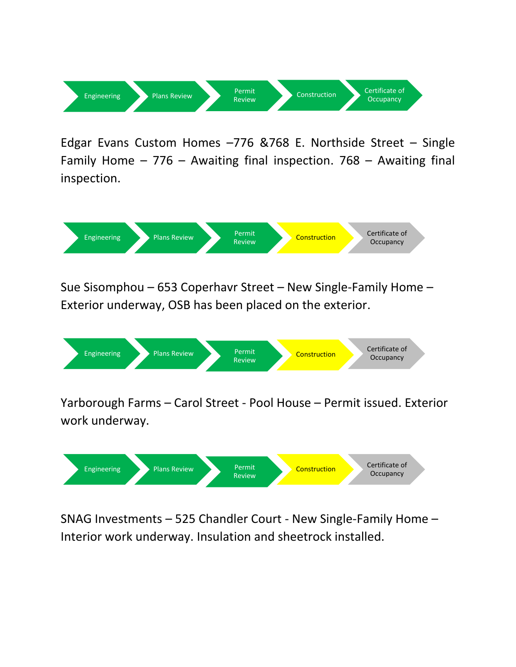

Edgar Evans Custom Homes –776 &768 E. Northside Street – Single Family Home – 776 – Awaiting final inspection. 768 – Awaiting final inspection.



Sue Sisomphou – 653 Coperhavr Street – New Single-Family Home – Exterior underway, OSB has been placed on the exterior.



Yarborough Farms – Carol Street - Pool House – Permit issued. Exterior work underway.



SNAG Investments – 525 Chandler Court - New Single-Family Home – Interior work underway. Insulation and sheetrock installed.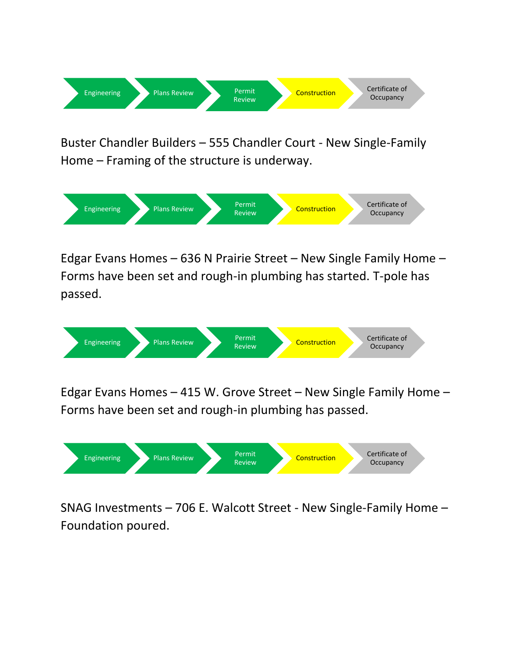

Buster Chandler Builders – 555 Chandler Court - New Single-Family Home – Framing of the structure is underway.



Edgar Evans Homes – 636 N Prairie Street – New Single Family Home – Forms have been set and rough-in plumbing has started. T-pole has passed.



Edgar Evans Homes – 415 W. Grove Street – New Single Family Home – Forms have been set and rough-in plumbing has passed.



SNAG Investments – 706 E. Walcott Street - New Single-Family Home – Foundation poured.